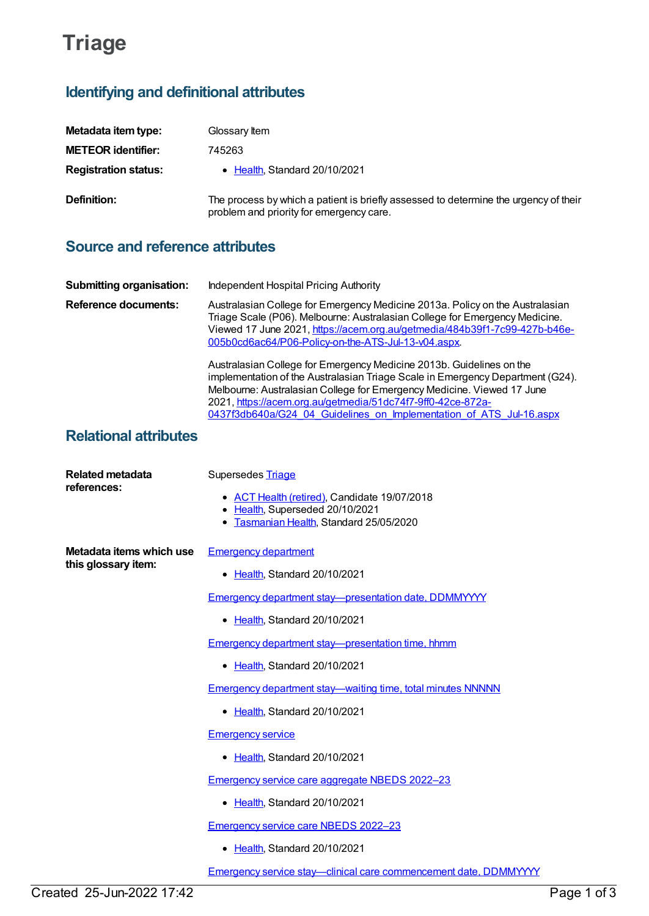# **Triage**

## **Identifying and definitional attributes**

| Metadata item type:         | Glossary Item                                                                                                                    |
|-----------------------------|----------------------------------------------------------------------------------------------------------------------------------|
| <b>METEOR identifier:</b>   | 745263                                                                                                                           |
| <b>Registration status:</b> | • Health, Standard 20/10/2021                                                                                                    |
| <b>Definition:</b>          | The process by which a patient is briefly assessed to determine the urgency of their<br>problem and priority for emergency care. |

### **Source and reference attributes**

| <b>Submitting organisation:</b> | Independent Hospital Pricing Authority                                                                                                                                                                                                                                                                                                                                 |
|---------------------------------|------------------------------------------------------------------------------------------------------------------------------------------------------------------------------------------------------------------------------------------------------------------------------------------------------------------------------------------------------------------------|
| Reference documents:            | Australasian College for Emergency Medicine 2013a. Policy on the Australasian<br>Triage Scale (P06). Melbourne: Australasian College for Emergency Medicine.<br>Viewed 17 June 2021, https://acem.org.au/getmedia/484b39f1-7c99-427b-b46e-<br>005b0cd6ac64/P06-Policy-on-the-ATS-Jul-13-v04.aspx.                                                                      |
|                                 | Australasian College for Emergency Medicine 2013b. Guidelines on the<br>implementation of the Australasian Triage Scale in Emergency Department (G24).<br>Melbourne: Australasian College for Emergency Medicine. Viewed 17 June<br>2021, https://acem.org.au/getmedia/51dc74f7-9ff0-42ce-872a-<br>0437f3db640a/G24_04_Guidelines_on_Implementation_of_ATS_Jul-16.aspx |

#### **Relational attributes**

| <b>Related metadata</b><br>references:          | Supersedes Triage                                                             |
|-------------------------------------------------|-------------------------------------------------------------------------------|
|                                                 | • ACT Health (retired), Candidate 19/07/2018                                  |
|                                                 | • Health, Superseded 20/10/2021<br>Tasmanian Health, Standard 25/05/2020<br>٠ |
|                                                 |                                                                               |
| Metadata items which use<br>this glossary item: | <b>Emergency department</b>                                                   |
|                                                 | • Health, Standard 20/10/2021                                                 |
|                                                 | Emergency department stay-presentation date, DDMMYYYY                         |
|                                                 | • Health, Standard 20/10/2021                                                 |
|                                                 | Emergency department stay—presentation time, hhmm                             |
|                                                 | Health, Standard 20/10/2021                                                   |
|                                                 | <b>Emergency department stay—waiting time, total minutes NNNNN</b>            |
|                                                 | • Health, Standard 20/10/2021                                                 |
|                                                 | <b>Emergency service</b>                                                      |
|                                                 | • Health, Standard 20/10/2021                                                 |
|                                                 | <b>Emergency service care aggregate NBEDS 2022-23</b>                         |
|                                                 | • Health, Standard 20/10/2021                                                 |
|                                                 | Emergency service care NBEDS 2022-23                                          |
|                                                 | • Health, Standard 20/10/2021                                                 |
|                                                 | Emergency service stay-clinical care commencement date, DDMMYYYY              |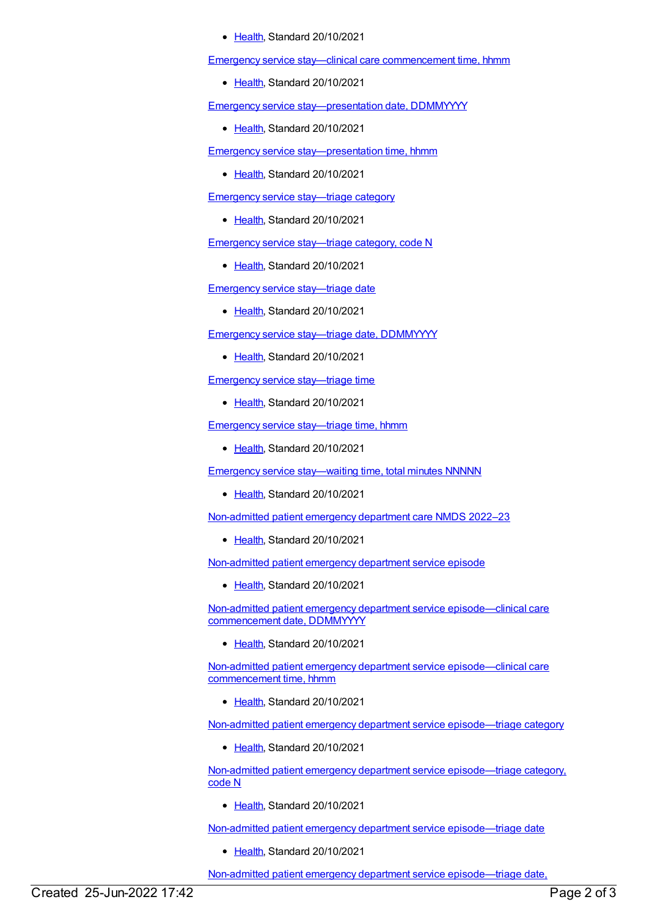[Health](https://meteor.aihw.gov.au/RegistrationAuthority/12), Standard 20/10/2021

Emergency service stay—clinical care [commencement](https://meteor.aihw.gov.au/content/745748) time, hhmm

• [Health](https://meteor.aihw.gov.au/RegistrationAuthority/12), Standard 20/10/2021

Emergency service [stay—presentation](https://meteor.aihw.gov.au/content/745724) date, DDMMYYYY

• [Health](https://meteor.aihw.gov.au/RegistrationAuthority/12), Standard 20/10/2021

Emergency service [stay—presentation](https://meteor.aihw.gov.au/content/745730) time, hhmm

• [Health](https://meteor.aihw.gov.au/RegistrationAuthority/12), Standard 20/10/2021

Emergency service [stay—triage](https://meteor.aihw.gov.au/content/746008) category

• [Health](https://meteor.aihw.gov.au/RegistrationAuthority/12), Standard 20/10/2021

Emergency service [stay—triage](https://meteor.aihw.gov.au/content/745267) category, code N

• [Health](https://meteor.aihw.gov.au/RegistrationAuthority/12), Standard 20/10/2021

Emergency service [stay—triage](https://meteor.aihw.gov.au/content/745776) date

• [Health](https://meteor.aihw.gov.au/RegistrationAuthority/12), Standard 20/10/2021

Emergency service stay—triage date, [DDMMYYYY](https://meteor.aihw.gov.au/content/745778)

• [Health](https://meteor.aihw.gov.au/RegistrationAuthority/12), Standard 20/10/2021

Emergency service [stay—triage](https://meteor.aihw.gov.au/content/745784) time

[Health](https://meteor.aihw.gov.au/RegistrationAuthority/12), Standard 20/10/2021

Emergency service [stay—triage](https://meteor.aihw.gov.au/content/745786) time, hhmm

[Health](https://meteor.aihw.gov.au/RegistrationAuthority/12), Standard 20/10/2021

Emergency service [stay—waiting](https://meteor.aihw.gov.au/content/745735) time, total minutes NNNNN

• [Health](https://meteor.aihw.gov.au/RegistrationAuthority/12), Standard 20/10/2021

[Non-admitted](https://meteor.aihw.gov.au/content/742184) patient emergency department care NMDS 2022–23

• [Health](https://meteor.aihw.gov.au/RegistrationAuthority/12), Standard 20/10/2021

[Non-admitted](https://meteor.aihw.gov.au/content/746609) patient emergency department service episode

• [Health](https://meteor.aihw.gov.au/RegistrationAuthority/12), Standard 20/10/2021

Non-admitted patient emergency department service [episode—clinical](https://meteor.aihw.gov.au/content/746613) care commencement date, DDMMYYYY

[Health](https://meteor.aihw.gov.au/RegistrationAuthority/12), Standard 20/10/2021

Non-admitted patient emergency department service [episode—clinical](https://meteor.aihw.gov.au/content/746621) care commencement time, hhmm

• [Health](https://meteor.aihw.gov.au/RegistrationAuthority/12), Standard 20/10/2021

Non-admitted patient emergency department service [episode—triage](https://meteor.aihw.gov.au/content/746625) category

• [Health](https://meteor.aihw.gov.au/RegistrationAuthority/12), Standard 20/10/2021

Non-admitted patient emergency department service [episode—triage](https://meteor.aihw.gov.au/content/746627) category, code N

[Health](https://meteor.aihw.gov.au/RegistrationAuthority/12), Standard 20/10/2021

Non-admitted patient emergency department service [episode—triage](https://meteor.aihw.gov.au/content/746630) date

Ealth, Standard 20/10/2021

Non-admitted patient emergency department service [episode—triage](https://meteor.aihw.gov.au/content/746632) date,